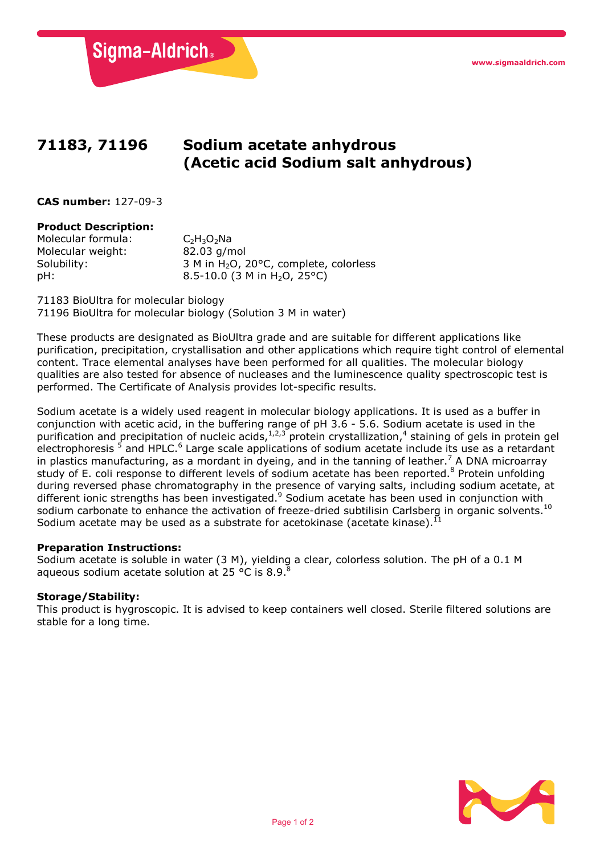Sigma-Aldrich.

# **71183, 71196 Sodium acetate anhydrous (Acetic acid Sodium salt anhydrous)**

**CAS number:** 127-09-3

## **Product Description:**

Molecular formula:  $C_2H_3O_2N$ a<br>Molecular weight:  $82.03$  g/mol Molecular weight: Solubility:  $\begin{array}{r} 3 \text{ M in H}_2\text{O}, 20^{\circ}\text{C}, \text{ complete, colorless} \\ 8.5\text{-}10.0 \text{ (3 M in H}_2\text{O}, 25^{\circ}\text{C}) \end{array}$ 8.5-10.0 (3 M in H<sub>2</sub>O, 25°C)

71183 BioUltra for molecular biology 71196 BioUltra for molecular biology (Solution 3 M in water)

These products are designated as BioUltra grade and are suitable for different applications like purification, precipitation, crystallisation and other applications which require tight control of elemental content. Trace elemental analyses have been performed for all qualities. The molecular biology qualities are also tested for absence of nucleases and the luminescence quality spectroscopic test is performed. The Certificate of Analysis provides lot-specific results.

Sodium acetate is a widely used reagent in molecular biology applications. It is used as a buffer in conjunction with acetic acid, in the buffering range of pH 3.6 - 5.6. Sodium acetate is used in the purification and precipitation of nucleic acids,1,2,3 protein crystallization,4 staining of gels in protein gel electrophoresis<sup>5</sup> and HPLC.<sup>6</sup> Large scale applications of sodium acetate include its use as a retardant in plastics manufacturing, as a mordant in dyeing, and in the tanning of leather.<sup>7</sup> A DNA microarray study of E. coli response to different levels of sodium acetate has been reported.<sup>8</sup> Protein unfolding during reversed phase chromatography in the presence of varying salts, including sodium acetate, at different ionic strengths has been investigated.<sup>9</sup> Sodium acetate has been used in conjunction with sodium carbonate to enhance the activation of freeze-dried subtilisin Carlsberg in organic solvents.<sup>10</sup> Sodium acetate may be used as a substrate for acetokinase (acetate kinase). $^{11}$ 

## **Preparation Instructions:**

Sodium acetate is soluble in water (3 M), yielding a clear, colorless solution. The pH of a 0.1 M aqueous sodium acetate solution at 25 °C is 8.9. $^{8}$ 

## **Storage/Stability:**

This product is hygroscopic. It is advised to keep containers well closed. Sterile filtered solutions are stable for a long time.